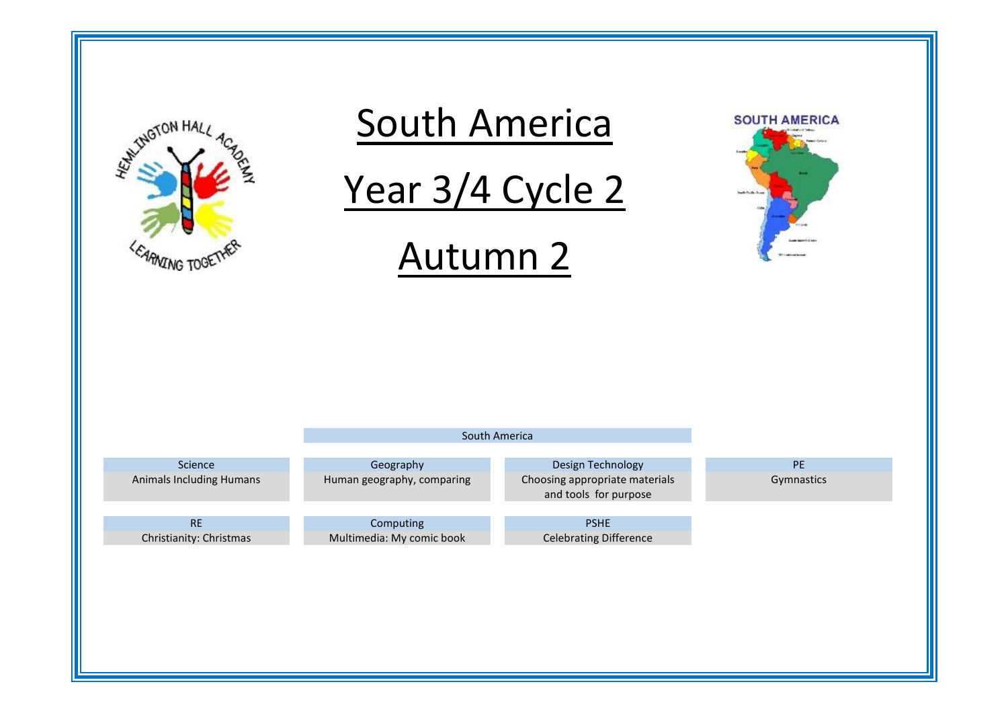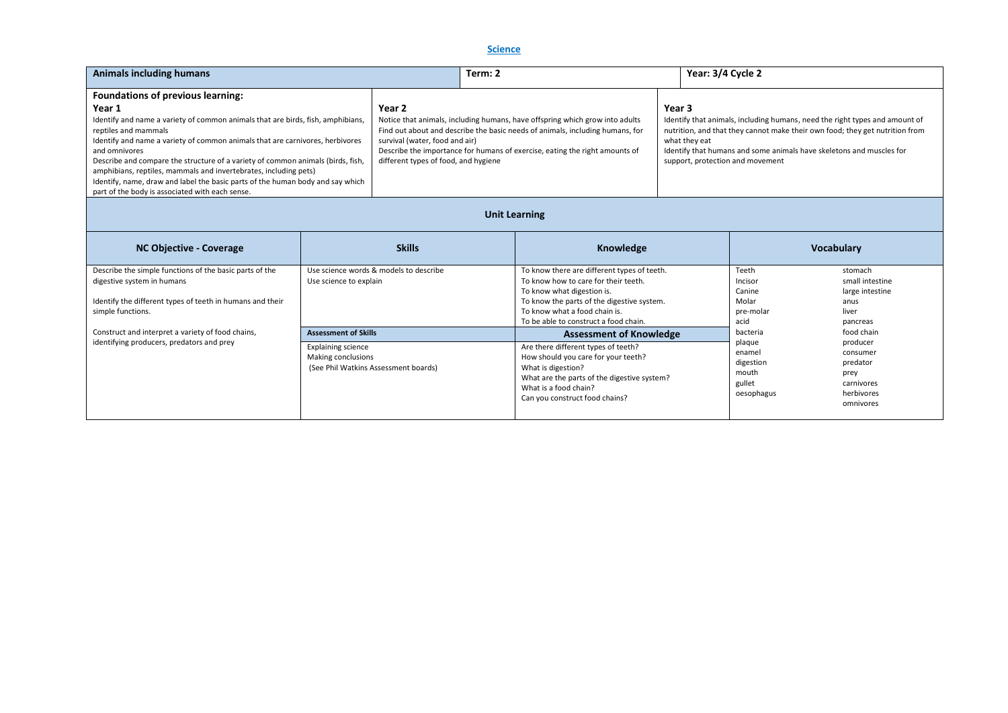# **Science**

| <b>Animals including humans</b>                                                                         |                                      | Term: 2                                                                                                                                                       |        | Year: 3/4 Cycle 2                                                                                                                                           |
|---------------------------------------------------------------------------------------------------------|--------------------------------------|---------------------------------------------------------------------------------------------------------------------------------------------------------------|--------|-------------------------------------------------------------------------------------------------------------------------------------------------------------|
| <b>Foundations of previous learning:</b>                                                                |                                      |                                                                                                                                                               |        |                                                                                                                                                             |
| Year 1                                                                                                  | Year 2                               |                                                                                                                                                               | Year 3 |                                                                                                                                                             |
| Identify and name a variety of common animals that are birds, fish, amphibians,<br>reptiles and mammals |                                      | Notice that animals, including humans, have offspring which grow into adults<br>Find out about and describe the basic needs of animals, including humans, for |        | Identify that animals, including humans, need the right types and amount of<br>nutrition, and that they cannot make their own food; they get nutrition from |
| Identify and name a variety of common animals that are carnivores, herbivores                           | survival (water, food and air)       |                                                                                                                                                               |        | what they eat                                                                                                                                               |
| and omnivores                                                                                           |                                      | Describe the importance for humans of exercise, eating the right amounts of                                                                                   |        | Identify that humans and some animals have skeletons and muscles for                                                                                        |
| Describe and compare the structure of a variety of common animals (birds, fish,                         | different types of food, and hygiene |                                                                                                                                                               |        | support, protection and movement                                                                                                                            |
| amphibians, reptiles, mammals and invertebrates, including pets)                                        |                                      |                                                                                                                                                               |        |                                                                                                                                                             |
| Identify, name, draw and label the basic parts of the human body and say which                          |                                      |                                                                                                                                                               |        |                                                                                                                                                             |
| part of the body is associated with each sense.                                                         |                                      |                                                                                                                                                               |        |                                                                                                                                                             |

# **Unit Learning**

| NC Objective - Coverage                                                                                                                                                 | <b>Skills</b>                                                                                   | <b>Knowledge</b>                                                                                                                                                                                                                                                            |                                                                      | <b>Vocabulary</b>                                                                        |
|-------------------------------------------------------------------------------------------------------------------------------------------------------------------------|-------------------------------------------------------------------------------------------------|-----------------------------------------------------------------------------------------------------------------------------------------------------------------------------------------------------------------------------------------------------------------------------|----------------------------------------------------------------------|------------------------------------------------------------------------------------------|
| Describe the simple functions of the basic parts of the<br>digestive system in humans<br>Identify the different types of teeth in humans and their<br>simple functions. | Use science words & models to describe<br>Use science to explain<br><b>Assessment of Skills</b> | To know there are different types of teeth.<br>To know how to care for their teeth.<br>To know what digestion is.<br>To know the parts of the digestive system.<br>To know what a food chain is.<br>To be able to construct a food chain.<br><b>Assessment of Knowledge</b> | Teeth<br>Incisor<br>Canine<br>Molar<br>pre-molar<br>acid<br>bacteria | stomach<br>small intestine<br>large intestine<br>anus<br>liver<br>pancreas<br>food chain |
| Construct and interpret a variety of food chains,<br>identifying producers, predators and prey                                                                          | <b>Explaining science</b><br>Making conclusions<br>(See Phil Watkins Assessment boards)         | Are there different types of teeth?<br>How should you care for your teeth?<br>What is digestion?<br>What are the parts of the digestive system?<br>What is a food chain?<br>Can you construct food chains?                                                                  | plaque<br>enamel<br>digestion<br>mouth<br>gullet<br>oesophagus       | producer<br>consumer<br>predator<br>prey<br>carnivores<br>herbivores<br>omnivores        |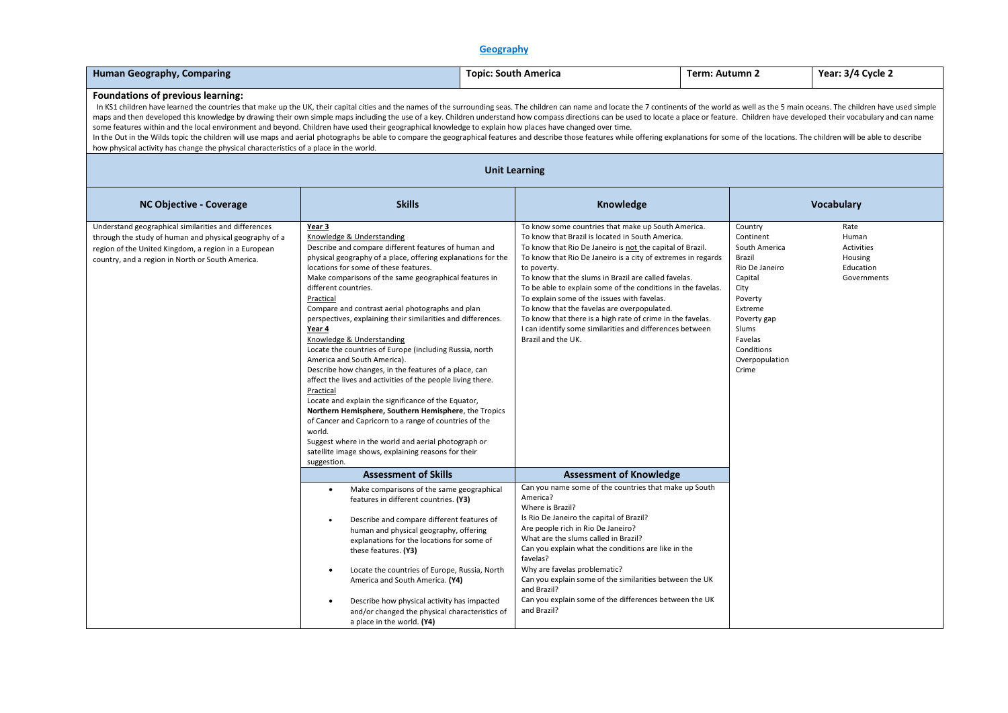# **Geography**

| <b>Human Geography, Comparing</b>                                                                                                                                                                                                                                                                                                                                                                                                                                                                                                                                                                                                                                                                                                                                                                                                                                                                                                                                                             | <b>Topic: South America</b>                                                                                                                                                                                                                                                                                                                                                                                                                                                                                                                                                                                                                                                                                                                                                                                                                                                                                                                                                                                   | Term: Autumn 2                                                                                                                                                                                                                                                                                                                                                                                                                                                                                                                                           |                                                              | Year: 3/4 Cycle 2                                                                                                                                                                      |                                                                    |  |  |  |  |
|-----------------------------------------------------------------------------------------------------------------------------------------------------------------------------------------------------------------------------------------------------------------------------------------------------------------------------------------------------------------------------------------------------------------------------------------------------------------------------------------------------------------------------------------------------------------------------------------------------------------------------------------------------------------------------------------------------------------------------------------------------------------------------------------------------------------------------------------------------------------------------------------------------------------------------------------------------------------------------------------------|---------------------------------------------------------------------------------------------------------------------------------------------------------------------------------------------------------------------------------------------------------------------------------------------------------------------------------------------------------------------------------------------------------------------------------------------------------------------------------------------------------------------------------------------------------------------------------------------------------------------------------------------------------------------------------------------------------------------------------------------------------------------------------------------------------------------------------------------------------------------------------------------------------------------------------------------------------------------------------------------------------------|----------------------------------------------------------------------------------------------------------------------------------------------------------------------------------------------------------------------------------------------------------------------------------------------------------------------------------------------------------------------------------------------------------------------------------------------------------------------------------------------------------------------------------------------------------|--------------------------------------------------------------|----------------------------------------------------------------------------------------------------------------------------------------------------------------------------------------|--------------------------------------------------------------------|--|--|--|--|
| Foundations of previous learning:<br>In KS1 children have learned the countries that make up the UK, their capital cities and the names of the surrounding seas. The children can name and locate the 7 continents of the world as well as the 5 main oceans. The c<br>maps and then developed this knowledge by drawing their own simple maps including the use of a key. Children understand how compass directions can be used to locate a place or feature. Children have developed their vocabul<br>some features within and the local environment and beyond. Children have used their geographical knowledge to explain how places have changed over time.<br>In the Out in the Wilds topic the children will use maps and aerial photographs be able to compare the geographical features and describe those features while offering explanations for some of the locations. The children w<br>how physical activity has change the physical characteristics of a place in the world. |                                                                                                                                                                                                                                                                                                                                                                                                                                                                                                                                                                                                                                                                                                                                                                                                                                                                                                                                                                                                               |                                                                                                                                                                                                                                                                                                                                                                                                                                                                                                                                                          |                                                              |                                                                                                                                                                                        |                                                                    |  |  |  |  |
| <b>Unit Learning</b>                                                                                                                                                                                                                                                                                                                                                                                                                                                                                                                                                                                                                                                                                                                                                                                                                                                                                                                                                                          |                                                                                                                                                                                                                                                                                                                                                                                                                                                                                                                                                                                                                                                                                                                                                                                                                                                                                                                                                                                                               |                                                                                                                                                                                                                                                                                                                                                                                                                                                                                                                                                          |                                                              |                                                                                                                                                                                        |                                                                    |  |  |  |  |
| <b>NC Objective - Coverage</b>                                                                                                                                                                                                                                                                                                                                                                                                                                                                                                                                                                                                                                                                                                                                                                                                                                                                                                                                                                | <b>Skills</b>                                                                                                                                                                                                                                                                                                                                                                                                                                                                                                                                                                                                                                                                                                                                                                                                                                                                                                                                                                                                 |                                                                                                                                                                                                                                                                                                                                                                                                                                                                                                                                                          | Knowledge                                                    |                                                                                                                                                                                        | <b>Vocabulary</b>                                                  |  |  |  |  |
| Understand geographical similarities and differences<br>through the study of human and physical geography of a<br>region of the United Kingdom, a region in a European<br>country, and a region in North or South America.                                                                                                                                                                                                                                                                                                                                                                                                                                                                                                                                                                                                                                                                                                                                                                    | Year 3<br>Knowledge & Understanding<br>Describe and compare different features of human and<br>physical geography of a place, offering explanations for the<br>locations for some of these features.<br>Make comparisons of the same geographical features in<br>different countries.<br>Practical<br>Compare and contrast aerial photographs and plan<br>perspectives, explaining their similarities and differences.<br>Year 4<br>Knowledge & Understanding<br>Locate the countries of Europe (including Russia, north<br>America and South America).<br>Describe how changes, in the features of a place, can<br>affect the lives and activities of the people living there.<br>Practical<br>Locate and explain the significance of the Equator,<br>Northern Hemisphere, Southern Hemisphere, the Tropics<br>of Cancer and Capricorn to a range of countries of the<br>world.<br>Suggest where in the world and aerial photograph or<br>satellite image shows, explaining reasons for their<br>suggestion. | To know some countries that make up South America.<br>To know that Brazil is located in South America.<br>To know that Rio De Janeiro is not the capital of Brazil.<br>to poverty.<br>To know that the slums in Brazil are called favelas.<br>To be able to explain some of the conditions in the favelas.<br>To explain some of the issues with favelas.<br>To know that the favelas are overpopulated.<br>To know that there is a high rate of crime in the favelas.<br>I can identify some similarities and differences between<br>Brazil and the UK. | To know that Rio De Janeiro is a city of extremes in regards | Country<br>Continent<br>South America<br>Brazil<br>Rio De Janeiro<br>Capital<br>City<br>Poverty<br>Extreme<br>Poverty gap<br>Slums<br>Favelas<br>Conditions<br>Overpopulation<br>Crime | Rate<br>Human<br>Activities<br>Housing<br>Education<br>Governments |  |  |  |  |
|                                                                                                                                                                                                                                                                                                                                                                                                                                                                                                                                                                                                                                                                                                                                                                                                                                                                                                                                                                                               | <b>Assessment of Skills</b>                                                                                                                                                                                                                                                                                                                                                                                                                                                                                                                                                                                                                                                                                                                                                                                                                                                                                                                                                                                   |                                                                                                                                                                                                                                                                                                                                                                                                                                                                                                                                                          | <b>Assessment of Knowledge</b>                               |                                                                                                                                                                                        |                                                                    |  |  |  |  |
|                                                                                                                                                                                                                                                                                                                                                                                                                                                                                                                                                                                                                                                                                                                                                                                                                                                                                                                                                                                               | Make comparisons of the same geographical<br>$\bullet$<br>features in different countries. (Y3)<br>Describe and compare different features of<br>$\bullet$<br>human and physical geography, offering<br>explanations for the locations for some of<br>these features. (Y3)<br>Locate the countries of Europe, Russia, North<br>$\bullet$<br>America and South America. (Y4)<br>Describe how physical activity has impacted<br>and/or changed the physical characteristics of<br>a place in the world. (Y4)                                                                                                                                                                                                                                                                                                                                                                                                                                                                                                    | Can you name some of the countries that make up South<br>America?<br>Where is Brazil?<br>Is Rio De Janeiro the capital of Brazil?<br>Are people rich in Rio De Janeiro?<br>What are the slums called in Brazil?<br>Can you explain what the conditions are like in the<br>favelas?<br>Why are favelas problematic?<br>Can you explain some of the similarities between the UK<br>and Brazil?<br>Can you explain some of the differences between the UK<br>and Brazil?                                                                                    |                                                              |                                                                                                                                                                                        |                                                                    |  |  |  |  |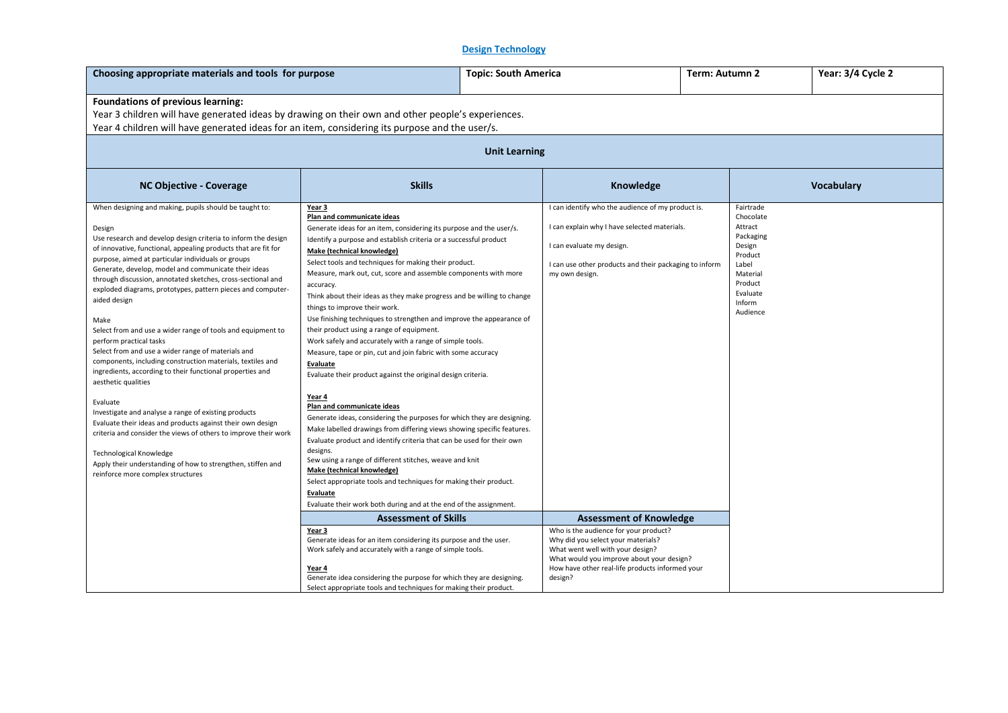# **Design Technology**

| Choosing appropriate materials and tools for purpose                                                                                                                                                                                                                                                                                                                                                                                                                                                                                                                                                                                                                                                                                                                                                                                                                                                                                                                                                      |                                                                                                                                                                                                                                                                                                                                                                                                                                                                                                                                                                                                                                                                                                                                                                                                                                                                                                                                                                                                                                                                                                                                                           | Term: Autumn 2<br><b>Topic: South America</b> |                                                                                                                                                                                                                 |  | Year: 3/4 Cycle 2                                                                                                                     |            |  |  |
|-----------------------------------------------------------------------------------------------------------------------------------------------------------------------------------------------------------------------------------------------------------------------------------------------------------------------------------------------------------------------------------------------------------------------------------------------------------------------------------------------------------------------------------------------------------------------------------------------------------------------------------------------------------------------------------------------------------------------------------------------------------------------------------------------------------------------------------------------------------------------------------------------------------------------------------------------------------------------------------------------------------|-----------------------------------------------------------------------------------------------------------------------------------------------------------------------------------------------------------------------------------------------------------------------------------------------------------------------------------------------------------------------------------------------------------------------------------------------------------------------------------------------------------------------------------------------------------------------------------------------------------------------------------------------------------------------------------------------------------------------------------------------------------------------------------------------------------------------------------------------------------------------------------------------------------------------------------------------------------------------------------------------------------------------------------------------------------------------------------------------------------------------------------------------------------|-----------------------------------------------|-----------------------------------------------------------------------------------------------------------------------------------------------------------------------------------------------------------------|--|---------------------------------------------------------------------------------------------------------------------------------------|------------|--|--|
| <b>Foundations of previous learning:</b><br>Year 3 children will have generated ideas by drawing on their own and other people's experiences.<br>Year 4 children will have generated ideas for an item, considering its purpose and the user/s.                                                                                                                                                                                                                                                                                                                                                                                                                                                                                                                                                                                                                                                                                                                                                           |                                                                                                                                                                                                                                                                                                                                                                                                                                                                                                                                                                                                                                                                                                                                                                                                                                                                                                                                                                                                                                                                                                                                                           |                                               |                                                                                                                                                                                                                 |  |                                                                                                                                       |            |  |  |
| <b>Unit Learning</b>                                                                                                                                                                                                                                                                                                                                                                                                                                                                                                                                                                                                                                                                                                                                                                                                                                                                                                                                                                                      |                                                                                                                                                                                                                                                                                                                                                                                                                                                                                                                                                                                                                                                                                                                                                                                                                                                                                                                                                                                                                                                                                                                                                           |                                               |                                                                                                                                                                                                                 |  |                                                                                                                                       |            |  |  |
| <b>NC Objective - Coverage</b>                                                                                                                                                                                                                                                                                                                                                                                                                                                                                                                                                                                                                                                                                                                                                                                                                                                                                                                                                                            | <b>Skills</b>                                                                                                                                                                                                                                                                                                                                                                                                                                                                                                                                                                                                                                                                                                                                                                                                                                                                                                                                                                                                                                                                                                                                             |                                               | Knowledge                                                                                                                                                                                                       |  |                                                                                                                                       | Vocabulary |  |  |
| When designing and making, pupils should be taught to:<br>Design<br>Use research and develop design criteria to inform the design<br>of innovative, functional, appealing products that are fit for<br>purpose, aimed at particular individuals or groups<br>Generate, develop, model and communicate their ideas<br>through discussion, annotated sketches, cross-sectional and<br>exploded diagrams, prototypes, pattern pieces and computer-<br>aided design<br>Make<br>Select from and use a wider range of tools and equipment to<br>perform practical tasks<br>Select from and use a wider range of materials and<br>components, including construction materials, textiles and<br>ingredients, according to their functional properties and<br>aesthetic qualities<br>Evaluate<br>Investigate and analyse a range of existing products<br>Evaluate their ideas and products against their own design<br>criteria and consider the views of others to improve their work<br>Technological Knowledge | Year 3<br>Plan and communicate ideas<br>Generate ideas for an item, considering its purpose and the user/s.<br>Identify a purpose and establish criteria or a successful product<br><b>Make (technical knowledge)</b><br>Select tools and techniques for making their product.<br>Measure, mark out, cut, score and assemble components with more<br>accuracy.<br>Think about their ideas as they make progress and be willing to change<br>things to improve their work.<br>Use finishing techniques to strengthen and improve the appearance of<br>their product using a range of equipment.<br>Work safely and accurately with a range of simple tools.<br>Measure, tape or pin, cut and join fabric with some accuracy<br><b>Evaluate</b><br>Evaluate their product against the original design criteria.<br>Year 4<br>Plan and communicate ideas<br>Generate ideas, considering the purposes for which they are designing.<br>Make labelled drawings from differing views showing specific features.<br>Evaluate product and identify criteria that can be used for their own<br>designs.<br>Sew using a range of different stitches, weave and knit |                                               | I can identify who the audience of my product is.<br>I can explain why I have selected materials.<br>I can evaluate my design.<br>I can use other products and their packaging to inform<br>my own design.      |  | Fairtrade<br>Chocolate<br>Attract<br>Packaging<br>Design<br>Product<br>Label<br>Material<br>Product<br>Evaluate<br>Inform<br>Audience |            |  |  |
| Apply their understanding of how to strengthen, stiffen and<br>reinforce more complex structures                                                                                                                                                                                                                                                                                                                                                                                                                                                                                                                                                                                                                                                                                                                                                                                                                                                                                                          | Make (technical knowledge)<br>Select appropriate tools and techniques for making their product.<br>Evaluate<br>Evaluate their work both during and at the end of the assignment.                                                                                                                                                                                                                                                                                                                                                                                                                                                                                                                                                                                                                                                                                                                                                                                                                                                                                                                                                                          |                                               |                                                                                                                                                                                                                 |  |                                                                                                                                       |            |  |  |
|                                                                                                                                                                                                                                                                                                                                                                                                                                                                                                                                                                                                                                                                                                                                                                                                                                                                                                                                                                                                           | <b>Assessment of Skills</b>                                                                                                                                                                                                                                                                                                                                                                                                                                                                                                                                                                                                                                                                                                                                                                                                                                                                                                                                                                                                                                                                                                                               |                                               | <b>Assessment of Knowledge</b>                                                                                                                                                                                  |  |                                                                                                                                       |            |  |  |
|                                                                                                                                                                                                                                                                                                                                                                                                                                                                                                                                                                                                                                                                                                                                                                                                                                                                                                                                                                                                           | Year 3<br>Generate ideas for an item considering its purpose and the user.<br>Work safely and accurately with a range of simple tools.<br>Year 4                                                                                                                                                                                                                                                                                                                                                                                                                                                                                                                                                                                                                                                                                                                                                                                                                                                                                                                                                                                                          |                                               | Who is the audience for your product?<br>Why did you select your materials?<br>What went well with your design?<br>What would you improve about your design?<br>How have other real-life products informed your |  |                                                                                                                                       |            |  |  |
|                                                                                                                                                                                                                                                                                                                                                                                                                                                                                                                                                                                                                                                                                                                                                                                                                                                                                                                                                                                                           | Generate idea considering the purpose for which they are designing.<br>Select appropriate tools and techniques for making their product.                                                                                                                                                                                                                                                                                                                                                                                                                                                                                                                                                                                                                                                                                                                                                                                                                                                                                                                                                                                                                  | design?                                       |                                                                                                                                                                                                                 |  |                                                                                                                                       |            |  |  |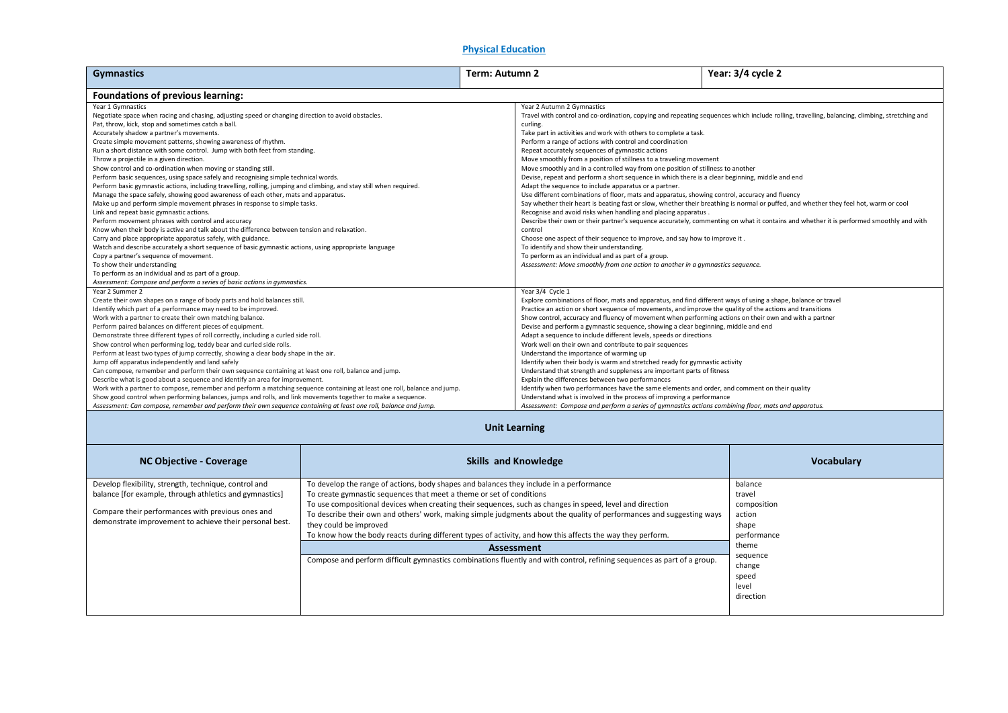#### **Physical Education**

| <b>Gymnastics</b>                                                                                                                                                                                                                                                                                                                                                                                                                                                                                                                                                                                                                                                                                                                                                                                                                                                                                                                                                                                                                                                                                                                                                                                                                                                                                                                                                                |                                                                                                                                                                                           | Term: Autumn 2                                                                                                                                                                                                                                                                                                                                                                                                                                                                                                                                                                                                                                                                                                                                                                                                                                                                                                                                                                                                                                                                                                                                                                                                                                                                                                                                                                                                                          |                                                                                                                                                                                                                                                                                                                                                                                                                                                                                                                                                                                                                                                                                                                                                                                                                                                                                                                                                                                                                                                                                                                                                   | Year: 3/4 cycle 2                                                                                                                |  |  |  |
|----------------------------------------------------------------------------------------------------------------------------------------------------------------------------------------------------------------------------------------------------------------------------------------------------------------------------------------------------------------------------------------------------------------------------------------------------------------------------------------------------------------------------------------------------------------------------------------------------------------------------------------------------------------------------------------------------------------------------------------------------------------------------------------------------------------------------------------------------------------------------------------------------------------------------------------------------------------------------------------------------------------------------------------------------------------------------------------------------------------------------------------------------------------------------------------------------------------------------------------------------------------------------------------------------------------------------------------------------------------------------------|-------------------------------------------------------------------------------------------------------------------------------------------------------------------------------------------|-----------------------------------------------------------------------------------------------------------------------------------------------------------------------------------------------------------------------------------------------------------------------------------------------------------------------------------------------------------------------------------------------------------------------------------------------------------------------------------------------------------------------------------------------------------------------------------------------------------------------------------------------------------------------------------------------------------------------------------------------------------------------------------------------------------------------------------------------------------------------------------------------------------------------------------------------------------------------------------------------------------------------------------------------------------------------------------------------------------------------------------------------------------------------------------------------------------------------------------------------------------------------------------------------------------------------------------------------------------------------------------------------------------------------------------------|---------------------------------------------------------------------------------------------------------------------------------------------------------------------------------------------------------------------------------------------------------------------------------------------------------------------------------------------------------------------------------------------------------------------------------------------------------------------------------------------------------------------------------------------------------------------------------------------------------------------------------------------------------------------------------------------------------------------------------------------------------------------------------------------------------------------------------------------------------------------------------------------------------------------------------------------------------------------------------------------------------------------------------------------------------------------------------------------------------------------------------------------------|----------------------------------------------------------------------------------------------------------------------------------|--|--|--|
| <b>Foundations of previous learning:</b>                                                                                                                                                                                                                                                                                                                                                                                                                                                                                                                                                                                                                                                                                                                                                                                                                                                                                                                                                                                                                                                                                                                                                                                                                                                                                                                                         |                                                                                                                                                                                           |                                                                                                                                                                                                                                                                                                                                                                                                                                                                                                                                                                                                                                                                                                                                                                                                                                                                                                                                                                                                                                                                                                                                                                                                                                                                                                                                                                                                                                         |                                                                                                                                                                                                                                                                                                                                                                                                                                                                                                                                                                                                                                                                                                                                                                                                                                                                                                                                                                                                                                                                                                                                                   |                                                                                                                                  |  |  |  |
| Year 1 Gymnastics<br>Negotiate space when racing and chasing, adjusting speed or changing direction to avoid obstacles.<br>Pat, throw, kick, stop and sometimes catch a ball.<br>Accurately shadow a partner's movements.<br>Create simple movement patterns, showing awareness of rhythm.<br>Run a short distance with some control. Jump with both feet from standing.<br>Throw a projectile in a given direction.<br>Show control and co-ordination when moving or standing still.<br>Perform basic sequences, using space safely and recognising simple technical words.<br>Perform basic gymnastic actions, including travelling, rolling, jumping and climbing, and stay still when required.<br>Manage the space safely, showing good awareness of each other, mats and apparatus.<br>Make up and perform simple movement phrases in response to simple tasks.<br>Link and repeat basic gymnastic actions.<br>Perform movement phrases with control and accuracy<br>Know when their body is active and talk about the difference between tension and relaxation.<br>Carry and place appropriate apparatus safely, with guidance.<br>Watch and describe accurately a short sequence of basic gymnastic actions, using appropriate language<br>Copy a partner's sequence of movement.<br>To show their understanding<br>To perform as an individual and as part of a group. |                                                                                                                                                                                           | Year 2 Autumn 2 Gymnastics<br>Travel with control and co-ordination, copying and repeating sequences which include rolling, travelling, balancing, climbing, stretching and<br>curling.<br>Take part in activities and work with others to complete a task.<br>Perform a range of actions with control and coordination<br>Repeat accurately sequences of gymnastic actions<br>Move smoothly from a position of stillness to a traveling movement<br>Move smoothly and in a controlled way from one position of stillness to another<br>Devise, repeat and perform a short sequence in which there is a clear beginning, middle and end<br>Adapt the sequence to include apparatus or a partner.<br>Use different combinations of floor, mats and apparatus, showing control, accuracy and fluency<br>Say whether their heart is beating fast or slow, whether their breathing is normal or puffed, and whether they feel hot, warm or cool<br>Recognise and avoid risks when handling and placing apparatus.<br>Describe their own or their partner's sequence accurately, commenting on what it contains and whether it is performed smoothly and with<br>control<br>Choose one aspect of their sequence to improve, and say how to improve it.<br>To identify and show their understanding.<br>To perform as an individual and as part of a group.<br>Assessment: Move smoothly from one action to another in a gymnastics sequence. |                                                                                                                                                                                                                                                                                                                                                                                                                                                                                                                                                                                                                                                                                                                                                                                                                                                                                                                                                                                                                                                                                                                                                   |                                                                                                                                  |  |  |  |
| Assessment: Compose and perform a series of basic actions in gymnastics.<br>Year 2 Summer 2<br>Create their own shapes on a range of body parts and hold balances still.<br>Identify which part of a performance may need to be improved.<br>Work with a partner to create their own matching balance.<br>Perform paired balances on different pieces of equipment.<br>Demonstrate three different types of roll correctly, including a curled side roll.<br>Show control when performing log, teddy bear and curled side rolls.<br>Perform at least two types of jump correctly, showing a clear body shape in the air.<br>Jump off apparatus independently and land safely<br>Can compose, remember and perform their own sequence containing at least one roll, balance and jump.<br>Describe what is good about a sequence and identify an area for improvement.<br>Work with a partner to compose, remember and perform a matching sequence containing at least one roll, balance and jump.<br>Show good control when performing balances, jumps and rolls, and link movements together to make a sequence.<br>Assessment: Can compose, remember and perform their own sequence containing at least one roll, balance and jump.                                                                                                                                             |                                                                                                                                                                                           |                                                                                                                                                                                                                                                                                                                                                                                                                                                                                                                                                                                                                                                                                                                                                                                                                                                                                                                                                                                                                                                                                                                                                                                                                                                                                                                                                                                                                                         | Year 3/4 Cycle 1<br>Explore combinations of floor, mats and apparatus, and find different ways of using a shape, balance or travel<br>Practice an action or short sequence of movements, and improve the quality of the actions and transitions<br>Show control, accuracy and fluency of movement when performing actions on their own and with a partner<br>Devise and perform a gymnastic sequence, showing a clear beginning, middle and end<br>Adapt a sequence to include different levels, speeds or directions<br>Work well on their own and contribute to pair sequences<br>Understand the importance of warming up<br>Identify when their body is warm and stretched ready for gymnastic activity<br>Understand that strength and suppleness are important parts of fitness<br>Explain the differences between two performances<br>Identify when two performances have the same elements and order, and comment on their quality<br>Understand what is involved in the process of improving a performance<br>Assessment: Compose and perform a series of gymnastics actions combining floor, mats and apparatus.<br><b>Unit Learning</b> |                                                                                                                                  |  |  |  |
| NC Objective - Coverage                                                                                                                                                                                                                                                                                                                                                                                                                                                                                                                                                                                                                                                                                                                                                                                                                                                                                                                                                                                                                                                                                                                                                                                                                                                                                                                                                          |                                                                                                                                                                                           |                                                                                                                                                                                                                                                                                                                                                                                                                                                                                                                                                                                                                                                                                                                                                                                                                                                                                                                                                                                                                                                                                                                                                                                                                                                                                                                                                                                                                                         | <b>Skills and Knowledge</b>                                                                                                                                                                                                                                                                                                                                                                                                                                                                                                                                                                                                                                                                                                                                                                                                                                                                                                                                                                                                                                                                                                                       | Vocabulary                                                                                                                       |  |  |  |
| Develop flexibility, strength, technique, control and<br>balance [for example, through athletics and gymnastics]<br>Compare their performances with previous ones and<br>demonstrate improvement to achieve their personal best.                                                                                                                                                                                                                                                                                                                                                                                                                                                                                                                                                                                                                                                                                                                                                                                                                                                                                                                                                                                                                                                                                                                                                 | To develop the range of actions, body shapes and balances they include in a performance<br>To create gymnastic sequences that meet a theme or set of conditions<br>they could be improved |                                                                                                                                                                                                                                                                                                                                                                                                                                                                                                                                                                                                                                                                                                                                                                                                                                                                                                                                                                                                                                                                                                                                                                                                                                                                                                                                                                                                                                         | To use compositional devices when creating their sequences, such as changes in speed, level and direction<br>To describe their own and others' work, making simple judgments about the quality of performances and suggesting ways<br>To know how the body reacts during different types of activity, and how this affects the way they perform.<br>Assessment<br>Compose and perform difficult gymnastics combinations fluently and with control, refining sequences as part of a group.                                                                                                                                                                                                                                                                                                                                                                                                                                                                                                                                                                                                                                                         | balance<br>travel<br>composition<br>action<br>shape<br>performance<br>theme<br>sequence<br>change<br>speed<br>level<br>direction |  |  |  |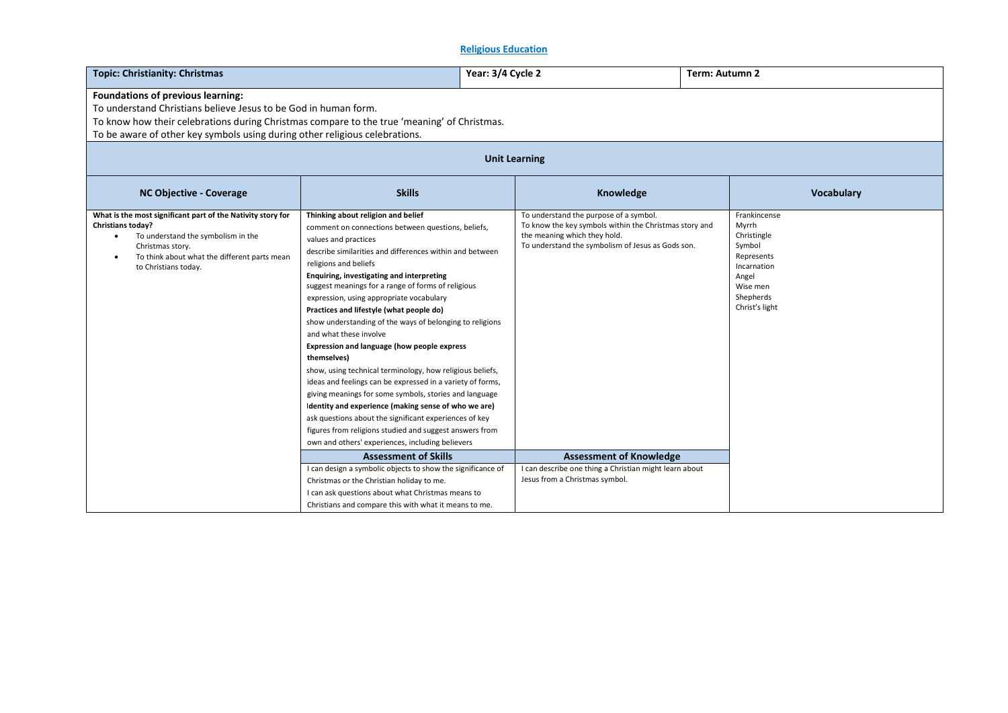# **Religious Education**

| <b>Topic: Christianity: Christmas</b>                                                                                                                                                                                                                                              |                                                                                                                                                                                                                                                                                                                                                                                                                                                                                                                                                                                                                                                                                                                                                                                                                                                                                                                                                                            |  | Year: 3/4 Cycle 2                                                                                                                                                                     |  | Term: Autumn 2                                                                                                                  |  |  |  |
|------------------------------------------------------------------------------------------------------------------------------------------------------------------------------------------------------------------------------------------------------------------------------------|----------------------------------------------------------------------------------------------------------------------------------------------------------------------------------------------------------------------------------------------------------------------------------------------------------------------------------------------------------------------------------------------------------------------------------------------------------------------------------------------------------------------------------------------------------------------------------------------------------------------------------------------------------------------------------------------------------------------------------------------------------------------------------------------------------------------------------------------------------------------------------------------------------------------------------------------------------------------------|--|---------------------------------------------------------------------------------------------------------------------------------------------------------------------------------------|--|---------------------------------------------------------------------------------------------------------------------------------|--|--|--|
| Foundations of previous learning:<br>To understand Christians believe Jesus to be God in human form.<br>To know how their celebrations during Christmas compare to the true 'meaning' of Christmas.<br>To be aware of other key symbols using during other religious celebrations. |                                                                                                                                                                                                                                                                                                                                                                                                                                                                                                                                                                                                                                                                                                                                                                                                                                                                                                                                                                            |  |                                                                                                                                                                                       |  |                                                                                                                                 |  |  |  |
| <b>Unit Learning</b>                                                                                                                                                                                                                                                               |                                                                                                                                                                                                                                                                                                                                                                                                                                                                                                                                                                                                                                                                                                                                                                                                                                                                                                                                                                            |  |                                                                                                                                                                                       |  |                                                                                                                                 |  |  |  |
| <b>NC Objective - Coverage</b>                                                                                                                                                                                                                                                     | <b>Skills</b>                                                                                                                                                                                                                                                                                                                                                                                                                                                                                                                                                                                                                                                                                                                                                                                                                                                                                                                                                              |  | Knowledge                                                                                                                                                                             |  | Vocabulary                                                                                                                      |  |  |  |
| What is the most significant part of the Nativity story for<br><b>Christians today?</b><br>To understand the symbolism in the<br>Christmas story.<br>To think about what the different parts mean<br>to Christians today.                                                          | Thinking about religion and belief<br>comment on connections between questions, beliefs,<br>values and practices<br>describe similarities and differences within and between<br>religions and beliefs<br>Enquiring, investigating and interpreting<br>suggest meanings for a range of forms of religious<br>expression, using appropriate vocabulary<br>Practices and lifestyle (what people do)<br>show understanding of the ways of belonging to religions<br>and what these involve<br>Expression and language (how people express<br>themselves)<br>show, using technical terminology, how religious beliefs,<br>ideas and feelings can be expressed in a variety of forms,<br>giving meanings for some symbols, stories and language<br>Identity and experience (making sense of who we are)<br>ask questions about the significant experiences of key<br>figures from religions studied and suggest answers from<br>own and others' experiences, including believers |  | To understand the purpose of a symbol.<br>To know the key symbols within the Christmas story and<br>the meaning which they hold.<br>To understand the symbolism of Jesus as Gods son. |  | Frankincense<br>Myrrh<br>Christingle<br>Symbol<br>Represents<br>Incarnation<br>Angel<br>Wise men<br>Shepherds<br>Christ's light |  |  |  |
|                                                                                                                                                                                                                                                                                    | <b>Assessment of Skills</b>                                                                                                                                                                                                                                                                                                                                                                                                                                                                                                                                                                                                                                                                                                                                                                                                                                                                                                                                                |  | <b>Assessment of Knowledge</b>                                                                                                                                                        |  |                                                                                                                                 |  |  |  |
|                                                                                                                                                                                                                                                                                    | I can design a symbolic objects to show the significance of<br>Christmas or the Christian holiday to me.<br>I can ask questions about what Christmas means to<br>Christians and compare this with what it means to me.                                                                                                                                                                                                                                                                                                                                                                                                                                                                                                                                                                                                                                                                                                                                                     |  | I can describe one thing a Christian might learn about<br>Jesus from a Christmas symbol.                                                                                              |  |                                                                                                                                 |  |  |  |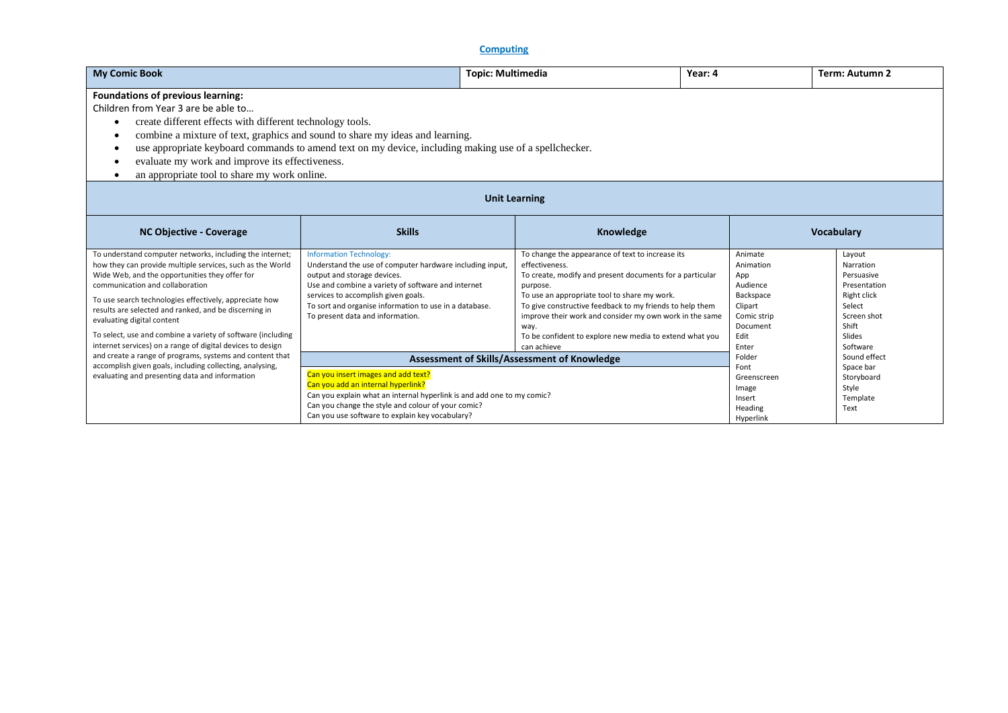| <b>My Comic Book</b>                                                                                                                                                                                                                                                                                                                                                                                                                                                                     | <b>Topic: Multimedia</b>                                                                                                                                                                                                                                                                                             |                                                                                                                                                                                                                                                                                                                                                                                                     | Year: 4                                                                                                     | Term: Autumn 2                                                                                                           |  |  |  |
|------------------------------------------------------------------------------------------------------------------------------------------------------------------------------------------------------------------------------------------------------------------------------------------------------------------------------------------------------------------------------------------------------------------------------------------------------------------------------------------|----------------------------------------------------------------------------------------------------------------------------------------------------------------------------------------------------------------------------------------------------------------------------------------------------------------------|-----------------------------------------------------------------------------------------------------------------------------------------------------------------------------------------------------------------------------------------------------------------------------------------------------------------------------------------------------------------------------------------------------|-------------------------------------------------------------------------------------------------------------|--------------------------------------------------------------------------------------------------------------------------|--|--|--|
| Foundations of previous learning:<br>Children from Year 3 are be able to<br>create different effects with different technology tools.<br>combine a mixture of text, graphics and sound to share my ideas and learning.<br>$\bullet$<br>use appropriate keyboard commands to amend text on my device, including making use of a spellchecker.<br>evaluate my work and improve its effectiveness.<br>$\bullet$<br>an appropriate tool to share my work online.                             |                                                                                                                                                                                                                                                                                                                      |                                                                                                                                                                                                                                                                                                                                                                                                     |                                                                                                             |                                                                                                                          |  |  |  |
|                                                                                                                                                                                                                                                                                                                                                                                                                                                                                          |                                                                                                                                                                                                                                                                                                                      | <b>Unit Learning</b>                                                                                                                                                                                                                                                                                                                                                                                |                                                                                                             |                                                                                                                          |  |  |  |
| <b>NC Objective - Coverage</b>                                                                                                                                                                                                                                                                                                                                                                                                                                                           | <b>Skills</b>                                                                                                                                                                                                                                                                                                        | Knowledge                                                                                                                                                                                                                                                                                                                                                                                           |                                                                                                             | <b>Vocabulary</b>                                                                                                        |  |  |  |
| To understand computer networks, including the internet;<br>how they can provide multiple services, such as the World<br>Wide Web, and the opportunities they offer for<br>communication and collaboration<br>To use search technologies effectively, appreciate how<br>results are selected and ranked, and be discerning in<br>evaluating digital content<br>To select, use and combine a variety of software (including<br>internet services) on a range of digital devices to design | <b>Information Technology:</b><br>Understand the use of computer hardware including input,<br>output and storage devices.<br>Use and combine a variety of software and internet<br>services to accomplish given goals.<br>To sort and organise information to use in a database.<br>To present data and information. | To change the appearance of text to increase its<br>effectiveness.<br>To create, modify and present documents for a particular<br>purpose.<br>To use an appropriate tool to share my work.<br>To give constructive feedback to my friends to help them<br>improve their work and consider my own work in the same<br>way.<br>To be confident to explore new media to extend what you<br>can achieve | Animate<br>Animation<br>App<br>Audience<br>Backspace<br>Clipart<br>Comic strip<br>Document<br>Edit<br>Enter | Layout<br>Narration<br>Persuasive<br>Presentation<br>Right click<br>Select<br>Screen shot<br>Shift<br>Slides<br>Software |  |  |  |
| and create a range of programs, systems and content that<br>accomplish given goals, including collecting, analysing,<br>evaluating and presenting data and information                                                                                                                                                                                                                                                                                                                   | Assessment of Skills/Assessment of Knowledge<br>Can you insert images and add text?<br>Can you add an internal hyperlink?<br>Can you explain what an internal hyperlink is and add one to my comic?<br>Can you change the style and colour of your comic?<br>Can you use software to explain key vocabulary?         |                                                                                                                                                                                                                                                                                                                                                                                                     | Folder<br>Font<br>Greenscreen<br>Image<br>Insert<br>Heading<br>Hyperlink                                    | Sound effect<br>Space bar<br>Storyboard<br>Style<br>Template<br>Text                                                     |  |  |  |